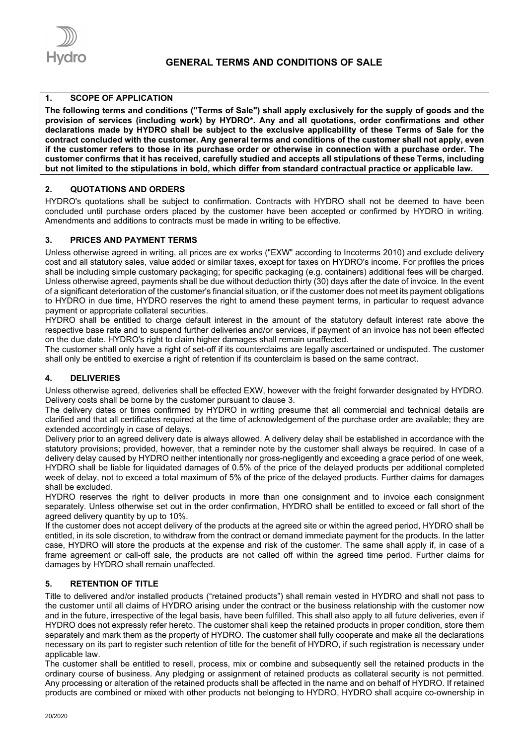

### **1. SCOPE OF APPLICATION**

**The following terms and conditions ("Terms of Sale") shall apply exclusively for the supply of goods and the provision of services (including work) by HYDRO\*. Any and all quotations, order confirmations and other declarations made by HYDRO shall be subject to the exclusive applicability of these Terms of Sale for the contract concluded with the customer. Any general terms and conditions of the customer shall not apply, even if the customer refers to those in its purchase order or otherwise in connection with a purchase order. The customer confirms that it has received, carefully studied and accepts all stipulations of these Terms, including but not limited to the stipulations in bold, which differ from standard contractual practice or applicable law.** 

### **2. QUOTATIONS AND ORDERS**

HYDRO's quotations shall be subject to confirmation. Contracts with HYDRO shall not be deemed to have been concluded until purchase orders placed by the customer have been accepted or confirmed by HYDRO in writing. Amendments and additions to contracts must be made in writing to be effective.

#### **3. PRICES AND PAYMENT TERMS**

Unless otherwise agreed in writing, all prices are ex works ("EXW" according to Incoterms 2010) and exclude delivery cost and all statutory sales, value added or similar taxes, except for taxes on HYDRO's income. For profiles the prices shall be including simple customary packaging; for specific packaging (e.g. containers) additional fees will be charged. Unless otherwise agreed, payments shall be due without deduction thirty (30) days after the date of invoice. In the event of a significant deterioration of the customer's financial situation, or if the customer does not meet its payment obligations to HYDRO in due time, HYDRO reserves the right to amend these payment terms, in particular to request advance payment or appropriate collateral securities.

HYDRO shall be entitled to charge default interest in the amount of the statutory default interest rate above the respective base rate and to suspend further deliveries and/or services, if payment of an invoice has not been effected on the due date. HYDRO's right to claim higher damages shall remain unaffected.

The customer shall only have a right of set-off if its counterclaims are legally ascertained or undisputed. The customer shall only be entitled to exercise a right of retention if its counterclaim is based on the same contract.

#### **4. DELIVERIES**

Unless otherwise agreed, deliveries shall be effected EXW, however with the freight forwarder designated by HYDRO. Delivery costs shall be borne by the customer pursuant to clause 3.

The delivery dates or times confirmed by HYDRO in writing presume that all commercial and technical details are clarified and that all certificates required at the time of acknowledgement of the purchase order are available; they are extended accordingly in case of delays.

Delivery prior to an agreed delivery date is always allowed. A delivery delay shall be established in accordance with the statutory provisions; provided, however, that a reminder note by the customer shall always be required. In case of a delivery delay caused by HYDRO neither intentionally nor gross-negligently and exceeding a grace period of one week, HYDRO shall be liable for liquidated damages of 0.5% of the price of the delayed products per additional completed week of delay, not to exceed a total maximum of 5% of the price of the delayed products. Further claims for damages shall be excluded.

HYDRO reserves the right to deliver products in more than one consignment and to invoice each consignment separately. Unless otherwise set out in the order confirmation, HYDRO shall be entitled to exceed or fall short of the agreed delivery quantity by up to 10%.

If the customer does not accept delivery of the products at the agreed site or within the agreed period, HYDRO shall be entitled, in its sole discretion, to withdraw from the contract or demand immediate payment for the products. In the latter case, HYDRO will store the products at the expense and risk of the customer. The same shall apply if, in case of a frame agreement or call-off sale, the products are not called off within the agreed time period. Further claims for damages by HYDRO shall remain unaffected.

#### **5. RETENTION OF TITLE**

Title to delivered and/or installed products ("retained products") shall remain vested in HYDRO and shall not pass to the customer until all claims of HYDRO arising under the contract or the business relationship with the customer now and in the future, irrespective of the legal basis, have been fulfilled. This shall also apply to all future deliveries, even if HYDRO does not expressly refer hereto. The customer shall keep the retained products in proper condition, store them separately and mark them as the property of HYDRO. The customer shall fully cooperate and make all the declarations necessary on its part to register such retention of title for the benefit of HYDRO, if such registration is necessary under applicable law.

The customer shall be entitled to resell, process, mix or combine and subsequently sell the retained products in the ordinary course of business. Any pledging or assignment of retained products as collateral security is not permitted. Any processing or alteration of the retained products shall be affected in the name and on behalf of HYDRO. If retained products are combined or mixed with other products not belonging to HYDRO, HYDRO shall acquire co-ownership in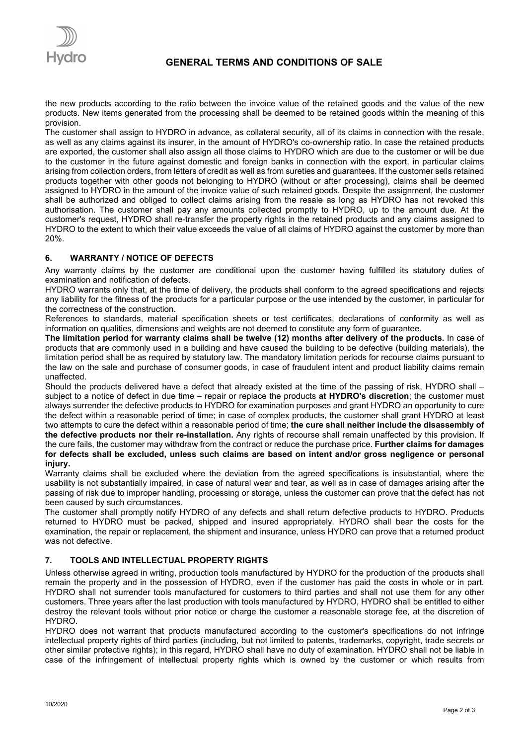

# **GENERAL TERMS AND CONDITIONS OF SALE**

the new products according to the ratio between the invoice value of the retained goods and the value of the new products. New items generated from the processing shall be deemed to be retained goods within the meaning of this provision.

The customer shall assign to HYDRO in advance, as collateral security, all of its claims in connection with the resale, as well as any claims against its insurer, in the amount of HYDRO's co-ownership ratio. In case the retained products are exported, the customer shall also assign all those claims to HYDRO which are due to the customer or will be due to the customer in the future against domestic and foreign banks in connection with the export, in particular claims arising from collection orders, from letters of credit as well as from sureties and guarantees. If the customer sells retained products together with other goods not belonging to HYDRO (without or after processing), claims shall be deemed assigned to HYDRO in the amount of the invoice value of such retained goods. Despite the assignment, the customer shall be authorized and obliged to collect claims arising from the resale as long as HYDRO has not revoked this authorisation. The customer shall pay any amounts collected promptly to HYDRO, up to the amount due. At the customer's request, HYDRO shall re-transfer the property rights in the retained products and any claims assigned to HYDRO to the extent to which their value exceeds the value of all claims of HYDRO against the customer by more than 20%.

### **6. WARRANTY / NOTICE OF DEFECTS**

Any warranty claims by the customer are conditional upon the customer having fulfilled its statutory duties of examination and notification of defects.

HYDRO warrants only that, at the time of delivery, the products shall conform to the agreed specifications and rejects any liability for the fitness of the products for a particular purpose or the use intended by the customer, in particular for the correctness of the construction.

References to standards, material specification sheets or test certificates, declarations of conformity as well as information on qualities, dimensions and weights are not deemed to constitute any form of guarantee.

**The limitation period for warranty claims shall be twelve (12) months after delivery of the products.** In case of products that are commonly used in a building and have caused the building to be defective (building materials), the limitation period shall be as required by statutory law. The mandatory limitation periods for recourse claims pursuant to the law on the sale and purchase of consumer goods, in case of fraudulent intent and product liability claims remain unaffected.

Should the products delivered have a defect that already existed at the time of the passing of risk, HYDRO shall – subject to a notice of defect in due time – repair or replace the products **at HYDRO's discretion**; the customer must always surrender the defective products to HYDRO for examination purposes and grant HYDRO an opportunity to cure the defect within a reasonable period of time; in case of complex products, the customer shall grant HYDRO at least two attempts to cure the defect within a reasonable period of time; **the cure shall neither include the disassembly of the defective products nor their re-installation.** Any rights of recourse shall remain unaffected by this provision. If the cure fails, the customer may withdraw from the contract or reduce the purchase price. **Further claims for damages for defects shall be excluded, unless such claims are based on intent and/or gross negligence or personal injury.**

Warranty claims shall be excluded where the deviation from the agreed specifications is insubstantial, where the usability is not substantially impaired, in case of natural wear and tear, as well as in case of damages arising after the passing of risk due to improper handling, processing or storage, unless the customer can prove that the defect has not been caused by such circumstances.

The customer shall promptly notify HYDRO of any defects and shall return defective products to HYDRO. Products returned to HYDRO must be packed, shipped and insured appropriately. HYDRO shall bear the costs for the examination, the repair or replacement, the shipment and insurance, unless HYDRO can prove that a returned product was not defective.

## **7. TOOLS AND INTELLECTUAL PROPERTY RIGHTS**

Unless otherwise agreed in writing, production tools manufactured by HYDRO for the production of the products shall remain the property and in the possession of HYDRO, even if the customer has paid the costs in whole or in part. HYDRO shall not surrender tools manufactured for customers to third parties and shall not use them for any other customers. Three years after the last production with tools manufactured by HYDRO, HYDRO shall be entitled to either destroy the relevant tools without prior notice or charge the customer a reasonable storage fee, at the discretion of HYDRO.

HYDRO does not warrant that products manufactured according to the customer's specifications do not infringe intellectual property rights of third parties (including, but not limited to patents, trademarks, copyright, trade secrets or other similar protective rights); in this regard, HYDRO shall have no duty of examination. HYDRO shall not be liable in case of the infringement of intellectual property rights which is owned by the customer or which results from